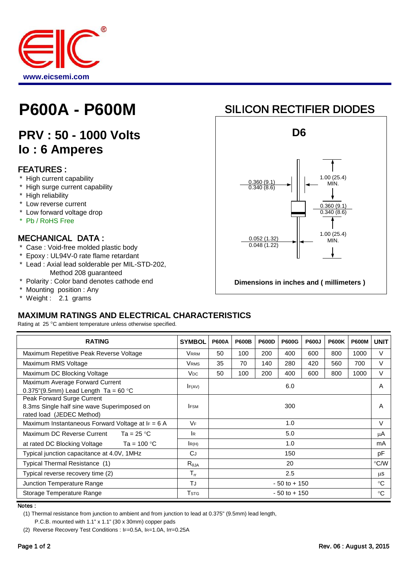

# **P600A - P600M**

## **PRV : 50 - 1000 Volts Io : 6 Amperes**

#### FEATURES :

- \* High current capability
- \* High surge current capability
- \* High reliability
- \* Low reverse current
- \* Low forward voltage drop
- \* Pb / RoHS Free

#### MECHANICAL DATA :

- \* Case : Void-free molded plastic body
- \* Epoxy : UL94V-0 rate flame retardant
- \* Lead : Axial lead solderable per MIL-STD-202, Method 208 guaranteed
- \* Polarity : Color band denotes cathode end
- \* Mounting position : Any
- \* Weight : 2.1 grams

### SILICON RECTIFIER DIODES



### **MAXIMUM RATINGS AND ELECTRICAL CHARACTERISTICS**

Rating at 25 °C ambient temperature unless otherwise specified.

| <b>RATING</b>                                                                                          | <b>SYMBOL</b>              | <b>P600A</b>    | <b>P600B</b> | <b>P600D</b> | <b>P600G</b> | <b>P600J</b> | <b>P600K</b> | <b>P600M</b>  | <b>UNIT</b>  |
|--------------------------------------------------------------------------------------------------------|----------------------------|-----------------|--------------|--------------|--------------|--------------|--------------|---------------|--------------|
| Maximum Repetitive Peak Reverse Voltage                                                                | <b>VRRM</b>                | 50              | 100          | 200          | 400          | 600          | 800          | 1000          | V            |
| Maximum RMS Voltage                                                                                    | <b>VRMS</b>                | 35              | 70           | 140          | 280          | 420          | 560          | 700           | V            |
| Maximum DC Blocking Voltage                                                                            | <b>V<sub>DC</sub></b>      | 50              | 100          | 200          | 400          | 600          | 800          | 1000          | V            |
| Maximum Average Forward Current<br>0.375"(9.5mm) Lead Length $Ta = 60 °C$                              | F(AV)                      | 6.0             |              |              |              |              |              | A             |              |
| Peak Forward Surge Current<br>8.3ms Single half sine wave Superimposed on<br>rated load (JEDEC Method) | <b>IFSM</b>                | 300             |              |              |              |              |              | A             |              |
| Maximum Instantaneous Forward Voltage at $I_F = 6$ A                                                   | <b>VF</b>                  | 1.0             |              |              |              |              |              | $\vee$        |              |
| Ta = 25 $^{\circ}$ C<br>Maximum DC Reverse Current                                                     | <b>IR</b>                  | 5.0             |              |              |              |              |              | μA            |              |
| Ta = 100 $^{\circ}$ C<br>at rated DC Blocking Voltage                                                  | R(H)                       | 1.0             |              |              |              |              |              | mA            |              |
| Typical junction capacitance at 4.0V, 1MHz                                                             | CJ                         | 150             |              |              |              |              |              | pF            |              |
| Typical Thermal Resistance (1)                                                                         | $R_{\theta$ JA             | 20              |              |              |              |              |              | $\degree$ C/W |              |
| Typical reverse recovery time (2)                                                                      | $\mathsf{T}_{\mathsf{rr}}$ | 2.5             |              |              |              |              |              | <b>us</b>     |              |
| Junction Temperature Range                                                                             | TJ                         | $-50$ to $+150$ |              |              |              |              |              | $^{\circ}C$   |              |
| Storage Temperature Range                                                                              | <b>T</b> stg               | $-50$ to $+150$ |              |              |              |              |              |               | $^{\circ}$ C |

Notes :

(1) Thermal resistance from junction to ambient and from junction to lead at 0.375" (9.5mm) lead length,

P.C.B. mounted with 1.1" x 1.1" (30 x 30mm) copper pads

<sup>(2)</sup> Reverse Recovery Test Conditions : IF=0.5A, IR=1.0A, Irr=0.25A